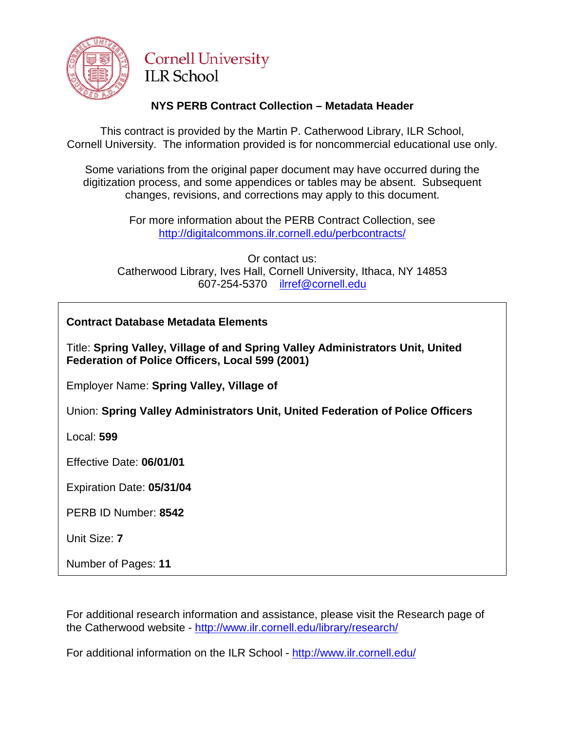

# **Cornell University ILR School**

# **NYS PERB Contract Collection – Metadata Header**

This contract is provided by the Martin P. Catherwood Library, ILR School, Cornell University. The information provided is for noncommercial educational use only.

Some variations from the original paper document may have occurred during the digitization process, and some appendices or tables may be absent. Subsequent changes, revisions, and corrections may apply to this document.

> For more information about the PERB Contract Collection, see http://digitalcommons.ilr.cornell.edu/perbcontracts/

Or contact us: Catherwood Library, Ives Hall, Cornell University, Ithaca, NY 14853 607-254-5370 [ilrref@cornell.edu](mailto:ilrref@cornell.edu)

**Contract Database Metadata Elements**

Title: **Spring Valley, Village of and Spring Valley Administrators Unit, United Federation of Police Officers, Local 599 (2001)**

Employer Name: **Spring Valley, Village of**

Union: **Spring Valley Administrators Unit, United Federation of Police Officers**

Local: **599**

Effective Date: **06/01/01**

Expiration Date: **05/31/04**

PERB ID Number: **8542**

Unit Size: **7**

Number of Pages: **11**

For additional research information and assistance, please visit the Research page of the Catherwood website - <http://www.ilr.cornell.edu/library/research/>

For additional information on the ILR School - <http://www.ilr.cornell.edu/>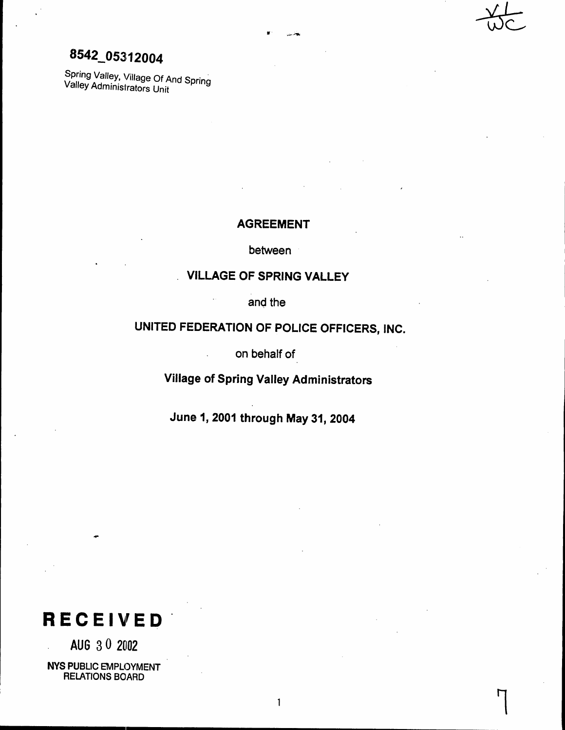# 8542\_05312004

Spring Valley, Village Of And Spring Valley Administrators Unit

# **AGREEMENT**

between

# **VILLAGE OF SPRING VALLEY**

and the

# UNITED FEDERATION OF POLICE OFFICERS, INC.

on behalf of

Village of Spring Valley Administrators

June 1, 2001 through May 31, 2004



AUG 30 2002 **NYS PUBLIC EMPLOYMENT** 

**RELATIONS BOARD** 

 $\mathbf{1}$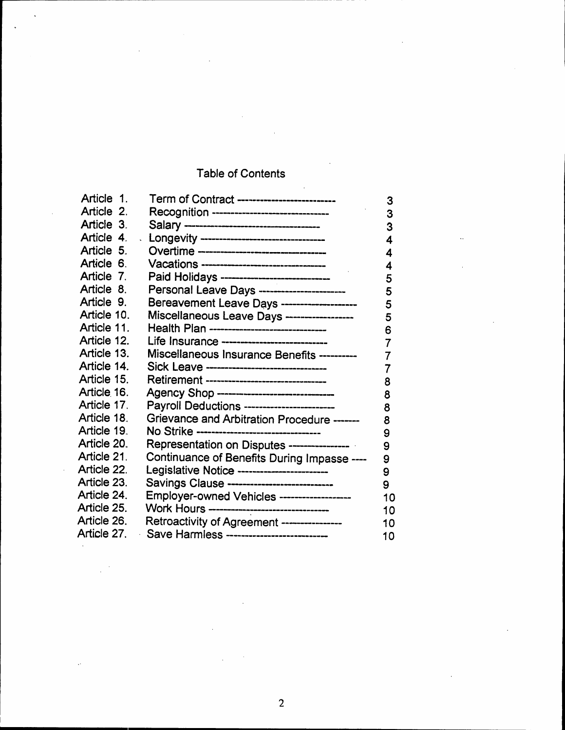# Table of Contents

| Article 1.  | Term of Contract --------------------------  | 3  |
|-------------|----------------------------------------------|----|
| Article 2.  | Recognition -------------------------------  | 3  |
| Article 3.  |                                              | 3  |
| Article 4.  | Longevity ---------------------------------  | 4  |
| Article 5.  | Overtime ---------------------------------   | 4  |
| Article 6.  | Vacations --------------------------------   | 4  |
| Article 7.  | Paid Holidays -----------------------------  | 5  |
| Article 8.  | Personal Leave Days ------------------------ | 5  |
| Article 9.  | Bereavement Leave Days --------------------- | 5  |
| Article 10. | Miscellaneous Leave Days ------------------  | 5  |
| Article 11. | Health Plan -------------------------------  | 6  |
| Article 12. | Life Insurance ----------------------------  | 7  |
| Article 13. | Miscellaneous Insurance Benefits ----------  | 7  |
| Article 14. | Sick Leave --------------------------------  | 7  |
| Article 15. | Retirement --------------------------------  | 8  |
| Article 16. | Agency Shop ----------------------------     | 8  |
| Article 17. | Payroll Deductions -----------------------   | 8  |
| Article 18. | Grievance and Arbitration Procedure -------  | 8  |
| Article 19. | No Strike --------------------------------   | 9  |
| Article 20. | Representation on Disputes ----------------  | 9  |
| Article 21. | Continuance of Benefits During Impasse ----  | 9  |
| Article 22. | Legislative Notice ------------------------  | 9  |
| Article 23. | Savings Clause ----------------------------- | 9  |
| Article 24. | Employer-owned Vehicles -------------------  | 10 |
| Article 25. | Work Hours -------------------------------   | 10 |
| Article 26. | Retroactivity of Agreement ----------------  | 10 |
| Article 27. | Save Harmless ---------------------------    | 10 |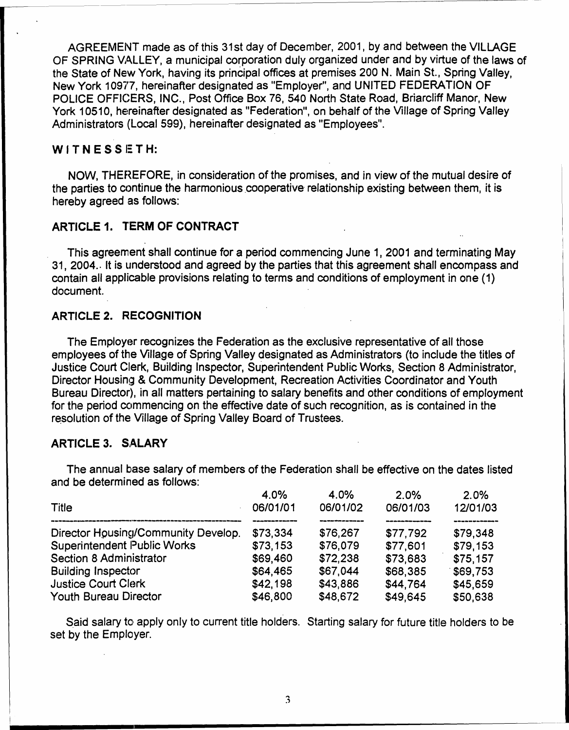AGREEMENT made as of this 31st day of December, 2001, by and between the VILLAGE OF SPRING VALLEY, a municipal corporation duly organized under and by virtue of the laws of the State of New York, having its principal offices at premises 200 N. Main St., Spring Valley, New York 10977, hereinafter designated as "Employer", and UNITED FEDERATION OF POLICE OFFICERS, INC., Post Office Box 76, 540 North State Road, Briarcliff Manor, New York 10510, hereinafter designated as "Federation", on behalf of the Village of Spring Valley Administrators (Local 599), hereinafter designated as "Employees".

### WITNESSETH:

NOW, THEREFORE, in consideration of the promises, and in view of the mutual desire of the parties to continue the harmonious cooperative relationship existing between them, it is hereby agreed as follows:

# **ARTICLE 1. TERM OF CONTRACT**

This agreement shall continue for a period commencing June 1, 2001 and terminating May 31, 2004. It is understood and agreed by the parties that this agreement shall encompass and contain all applicable provisions relating to terms and conditions of employment in one (1) document.

# **ARTICLE 2. RECOGNITION**

The Employer recognizes the Federation as the exclusive representative of all those employees of the Village of Spring Valley designated as Administrators (to include the titles of Justice Court Clerk, Building Inspector, Superintendent Public Works, Section 8 Administrator, Director Housing & Community Development, Recreation Activities Coordinator and Youth Bureau Director), in all matters pertaining to salary benefits and other conditions of employment for the period commencing on the effective date of such recognition, as is contained in the resolution of the Village of Spring Valley Board of Trustees.

# **ARTICLE 3. SALARY**

| 4.0%     | 4.0%     | 2.0%     | 2.0%     |
|----------|----------|----------|----------|
| 06/01/01 | 06/01/02 | 06/01/03 | 12/01/03 |
|          |          |          |          |
| \$73,334 | \$76,267 | \$77.792 | \$79.348 |
| \$73.153 | \$76,079 | \$77,601 | \$79,153 |
| \$69,460 | \$72,238 | \$73,683 | \$75.157 |
| \$64,465 | \$67,044 | \$68,385 | \$69,753 |
| \$42,198 | \$43,886 | \$44.764 | \$45,659 |
| \$46,800 | \$48,672 | \$49,645 | \$50,638 |
|          |          |          |          |

The annual base salary of members of the Federation shall be effective on the dates listed and he determined as follows:

Said salary to apply only to current title holders. Starting salary for future title holders to be set by the Employer.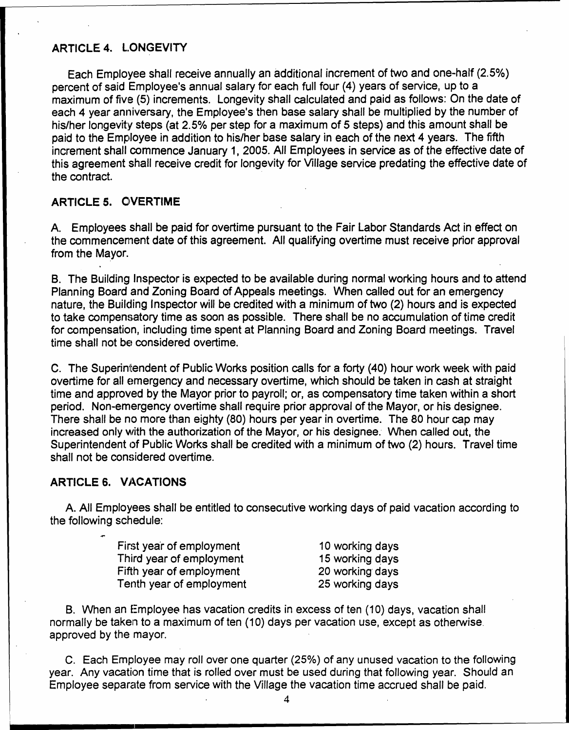#### ARTICLE 4. L.ONGEVITY

Each Employee shall receive annually an additional increment of two and one-half (2.5%) percent of said Employee's annual salary for each full four (4) years of service, up to a maximum of five (5) increments. Longevity shall calculated and paid as follows: On the date of each 4 year anniversary, the Employee's then base salary shall be multiplied by the number of his/her longevity steps (at 2.5% per step for a maximum of 5 steps) and this amount shall be paid to the Employee in addition to his/her base salary in each of the next 4 years. The fifth increment shall commence January 1, 2005. All Employees in service as of the effective date of this agreement shall receive credit for longevity for Village service predating the effective date of the contract.

#### ARTICLE 5. QIVERTIME

A. Employees shall be paid for overtime pursuant to the Fair Labor Standards Act in effect on the commencement date of this agreement. All qualifying overtime must receive prior approval from the Mayor.

B. The Building Inspector is expected to be available during normal working hours and to attend Planning Board and Zoning Board of Appeals meetings. When called out for an emergency nature, the Building Inspector will be credited with a minimum of two (2) hours and is expected to take compensatory time as soon as possible. There shall be no accumulation of time credit for compensation, including time spent at Planning Board and Zoning Board meetings. Travel time shall not be considered overtime.

C. The Superintendent of Public Works position calls for a forty (40) hour work week with paid overtime for all emergency and necessary overtime, which should be taken in cash at straight time and approved by the Mayor prior to payroll; or, as compensatory time taken within a short period. Non-emergency overtime shall require prior approval of the Mayor, or his designee. There shall be no more than eighty (80) hours per year in overtime. The 80 hour cap may increased only with the authorization of the Mayor, or his designee. When called out, the Superintendent of Public Works shall be credited with a minimum of two (2) hours. Travel time shall not be considered overtime.

### ARTICLE 6. VACATIONS

A. All Employees shall be entitled to consecutive working days of paid vacation according to the following schedule:

| First year of employment | 10 working days |
|--------------------------|-----------------|
| Third year of employment | 15 working days |
| Fifth year of employment | 20 working days |
| Tenth year of employment | 25 working days |

B. When an Employee has vacation credits in excess of ten (10) days, vacation shall normally be taken to a maximum of ten (10) days per vacation use, except as otherwise. approved by the mayor.

C. Each Employee may roll over one quarter *(25%)* of any unused vacation to the following year. Any vacation time that is rolled over must be used during that following year. Should an Employee separate from service with the Village the vacation time accrued shall be paid.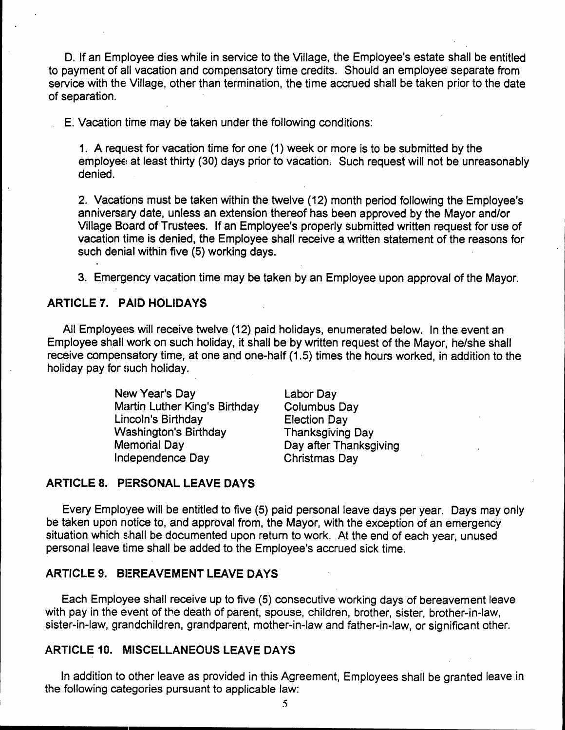D. If an Employee dies while in service to the Village, the Employee's estate shall be entitled to payment of all vacation and compensatory time credits. Should an employee separate from service with the Village, other than termination, the time accrued shall be taken prior to the date of separation. .

E. Vacation time may be taken under the following conditions:

1. A request for vacation time for one (1) week or more is to be submitted by the employee at least thirty (30) days prior to vacation. Such request will not be unreasonably denied.

2. Vacations must be taken within the twelve (12) month period following the Employee's anniversary date, unless an extension thereof has been approved by the Mayor and/or Village Board of Trustees. If an Employee's properly submitted written request for use of vacation time is denied, the Employee shall receive a written statement of the reasons for such denial within five (5) working days.

3. Emergency vacation time may be taken by an Employee upon approval of the Mayor.

## ARTICLE 7. PAID HOLIDAYS

All Employees will receive twelve (12) paid holidays, enumerated below. In the event an Employee shall work on such holiday, it shall be by written request of the Mayor, he/she shall receive compensatory time, at one and one-half (1.5) times the hours worked, in addition to the holiday pay for such holiday.

> New Year's Day Martin Luther King's Birthday Lincoln's Birthday Washington's Birthday **Memorial Day** Independence Day

Labor Day Columbus Day Election Day Thanksgiving Day Day after Thanksgiving Christmas Day

# ARTICLE 8. PERSONAL LEAVE DAYS

Every Employee will be entitled to five (5) paid personal leave days per year. Days may only be taken upon notice to, and approval from, the Mayor, with the exception of an emergency situation which shall be documented upon return to work. At the end of each year, unused personal leave time shall be added to the Employee's accrued sick time.

## ARTICLE 9. BEREAVEMENT LEAVE DAYS

Each Employee shall receive up to five (5) consecutive working days of bereavement leave with pay in the event of the death of parent, spouse, children, brother, sister, brother-in-law, sister-in-law, grandchildren, grandparent, mother-in-law and father-in-law, or significant other.

# ARTICLE 10. MISCELLANEOUS LEAVE DAYS

In addition to other leave as provided in this Agreement, Employees shall be granted leave in the following categories pursuant to applicable law: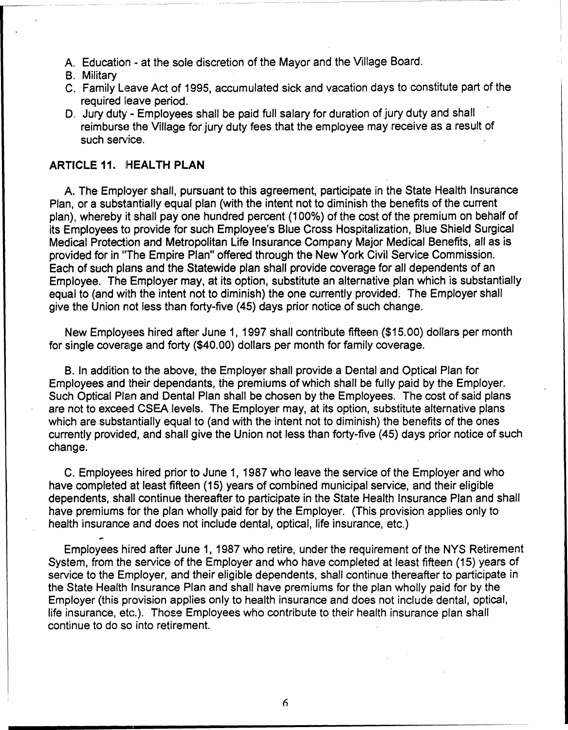- A. Education at the sole discretion of the Mayor and the Village Board.
- B. Military
- C. Family Leave Act of 1995, accumulated sick and vacation days to constitute part of the required leave period. .
- D. Jury duty Employees shall be paid full salary for duration of jury duty and shall reimburse the Village for jury duty fees that the employee may receive as a result of such service.

# ARTICLE 11. HEALTH PLAN

A. The Employer shall, pursuant to this agreement, participate in the State Health Insurance Plan, or a substantially equal plan (with the intent not to diminish the benefits of the current plan), whereby it shall pay one hundred percent (100%) of the cost of the premium on behalf of its Employees to provide for such Employee's Blue Cross Hospitalization, Blue Shield Surgical Medical Protection and Metropolitan Life Insurance Company Major Medical Benefrts, all as is provided for in "The Empire Plan" offered through the New York Civil Service Commission. Each of such plans and the Statewide plan shall provide coverage for all dependents of an Employee. The Employer may, at its option, substitute an alternative plan which is substantially equal to (and with the intent not to diminish) the one currently provided. The Employer shall give the Union not less than forty-five (45) days prior notice of such change.

New Employees hired after June 1, 1997 shall contribute fifteen (\$15.00) dollars per month for single coverage and forty (\$40.00) dollars per month for family coverage.

B. In addition to the above, the Employer shall provide a Dental and Optical Plan for Employees and their dependants, the premiums of which shall be fully paid by the Employer. Such Optical Plan and Dental Plan shall be chosen by the Employees. The cost of said plans are not to exceed CSEA levels. The Employer may, at its option, substitute alternative plans which are substantially equal to (and with the intent not to diminish) the benefits of the ones currently provided, and shall give the Union not less than forty-five (45) days prior notice of such change. .

C. Employees hired prior to June 1, 1987 who leave the service of the Employer and who have completed at least fifteen (15) years of combined municipal service, and their eligible dependents, shall continue thereafter to participate in the State Health Insurance Plan and shall have premiums for the plan wholly paid for by the Employer. (This provision applies only to health insurance and does not include dental, optical, life insurance, etc.)

Employees hired after June 1, 1987 who retire, under the requirement of the NYS Retirement System. from the service of the Employer and who have completed at least fifteen (15) years of service to the Employer, and their eligible dependents, shall continue thereafter to participate in the State Health Insurance Plan and shall have premiums for the plan wholly paid for by the Employer (this provision applies only to health insurance and does not include dental, optical, life insurance, etc.). Those Employees who contribute to their health insurance plan shall continue to do so into retirement.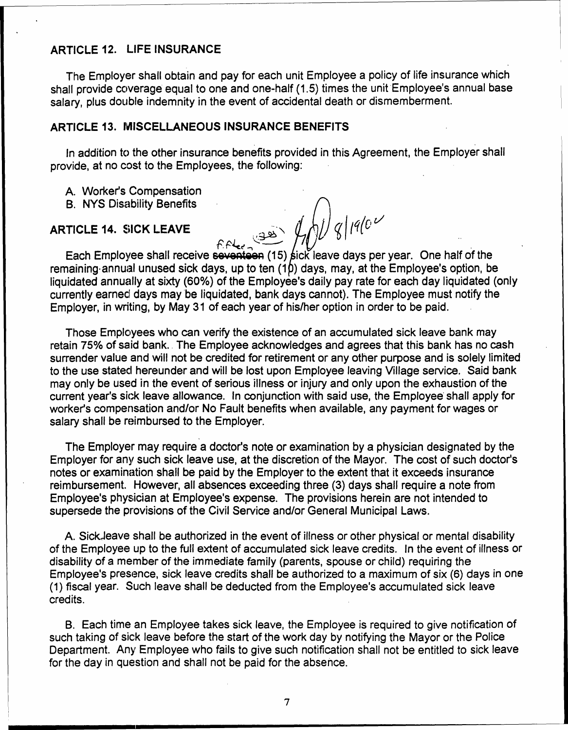# ARTICLE 12. LIFE INSURANCE

The Employer shall obtain and pay for each unit Employee a policy of life insurance which shall provide coverage equal to one and one-half (1.5) times the unit Employee's annual base salary, plus double indemnity in the event of accidental death or dismemberment.

## ARTICLE 13. MISCELLANEOUS INSURANCE BENEFITS

In addition to the other insurance benefits provided in this Agreement, the Employer sha provide, at no cost to the Employees, the following: '

A. Worker's Compensation

**B. NYS Disability Benefits** 

# $\mathsf{ARTICLE\ 14.}\ \mathsf{SICK\ LEAVE}\ \mathsf{L23.}\ \bigoplus_{\text{GMS}}\Big|\left(\frac{1}{\text{G}}\right)\Big|^{q}\Big|^{q}\Big|^{q}\Big|^{q}$

 $^{/\!\!/}$ <sup>F</sup> ~4~.., , , Each Employee shall receive s<del>eventeen</del> (15) sick leave days per year. One half of the remaining annual unused sick days, up to ten  $(1b)$  days, may, at the Employee's option, be liquidated annually at sixty (60%) of the Employee's daily pay rate for each day liquidated (only currently earned days may be liquidated, bank days cannot). The Employee must notify the Employer, in writing, by May 31 of each year of hislher option in order to be paid.

Those Employees who can verify the existence of an accumulated sick leave bank may retain 75% of said bank. The Employee acknowledges and agrees that this bank has no cash surrender value and will not be credited for retirement or any other purpose and is solely limited to the use stated hereunder and will be lost upon Employee leaving Village service. Said bank may only be used in the event of serious illness or injury and only upon the exhaustion of the current year's sick leave allowance. In conjunction with said use, the Employee shall apply for worker's compensation and/or No Fault benefits when available, any payment for wages or salary shall be reimbursed to the Employer.

The Employer may require a doctor's note or examination by a physician designated by the Employer for any such sick leave use, at the discretion of the Mayor. The cost of such doctor's notes or examination shall be paid by the Employer to the extent that it exceeds insurance reimbursement. However, all absences exceeding three (3) days shall require a note from Employee's physician at Employee's expense. The provisions herein are not intended to supersede the provisions of the Civil Service and/or General Municipal Laws.

A. SickJeave shall be authorized in the event of illness or other physical or mental disability of the Employee up to the full extent of accumulated sick leave credits. In the event of illness or disability of a member of the immediate family (parents, spouse or child) requiring the Employee's presence, sick leave credits shall be authorized to a maximum of six (6) days in one (1) fiscal year. Such leave shall be deducted from the Employee's accumulated sick leave credits.

B. Each time an Employee takes sick leave, the Employee is required to give notification of such taking of sick leave before the start of the work day by notifying the Mayor or the Police Department. Any Employee who fails to give such notification shall not be entitled to sick leave for the day in question and shall not be paid for the absence.

7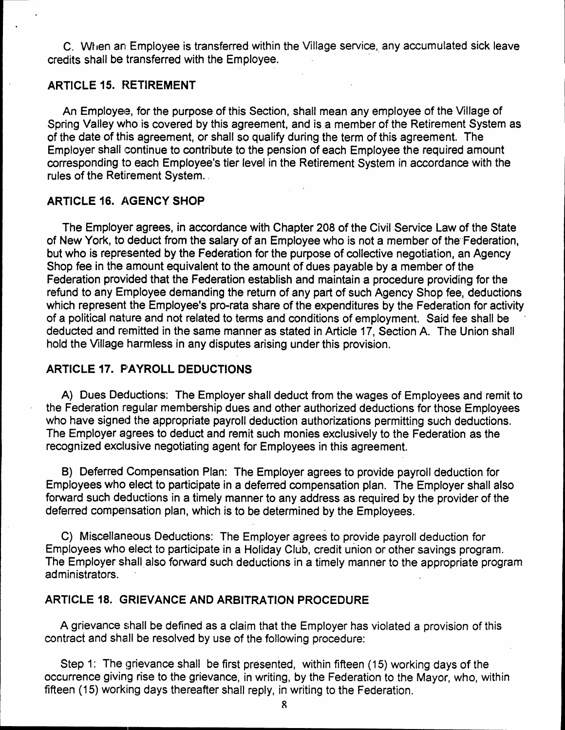C. When an Employee is transferred within the Village service, any accumulated sick leave credits shall be transferred with the Employee.

#### ARTICLE 15. RETIREMENT

An Employee, for the purpose of this Section, shall mean any employee of the Village of Spring Valley who is covered by this agreement, and is a member of the Retirement System as of the date of this agreement, or shall so qualify during the term of this agreement. The Employer shall continue to contribute to the pension of each Employee the required amount corresponding to each Employee's tier level in the Retirement System in accordance with the rules of the Retirement System.

#### **ARTICLE 16. AGENCY SHOP**

The Employer agrees, in accordance with Chapter 208 of the Civil Service Law of the State of New York, to deduct from the salary of an Employee who is not a member of the"Federation, but who is represented by the Federation for the purpose of collective negotiation, an Agency Shop fee in the amount equivalent to the amount of dues payable by a member of the Federation provided that the Federation establish and maintain a procedure providing for the refund to any Ernployee demanding the return of any part of such Agency Shop fee, deductions which represent the Employee's pro-rata share of the expenditures by the Federation for activity of a political nature and not related to terms and conditions of employment. Said fee shall be deducted and remitted in the same manner as stated in Article 17, Section A. The Union shall hold the Village harmless in any disputes arising under this provision.

## ARTICLE 17. PAYROLL DEDUCTIONS

A) Dues Deductions: The Employer shall deduct from the wages of Employees and remit to the Federation regular membership dues and other authorized deductions for those Employees who have signed the appropriate payroll deduction authorizations permitting such deductions. The Employer agrees to deduct and remit such monies exclusively to the Federation as the recognized exclusive negotiating agent for Employees in this agreement.

B) Deferred Compensation Plan: The Employer agrees to provide payroll deduction for Employees who elect to participate in a deferred compensation plan. The Employer shall also forward such deductions in a timely manner to any address as required by the provider of the deferred compensation plan, which is to be determined by the Employees.

C) Miscellaneous Deductions: The Employer agrees to provide payroll deduction for Employees who elect to participate in a Holiday Club, credit union or other savings program. The Employer shall also forward such deductions in a timely manner to the appropriate program administrators.

#### ARTICLE 18. GRIEVANCE AND ARBITRATION PROCEDURE

A grievance shall be defined as a claim that the Employer has violated a provision of this contract and shall be resolved by use of the following procedure:

Step 1: The grievance shall be first presented, within fifteen (15) working days of the occurrence giving rise to the grievance, in writing, by the Federation to the Mayor, who, within fifteen (15) working days thereafter shall reply, in writing to the Federation.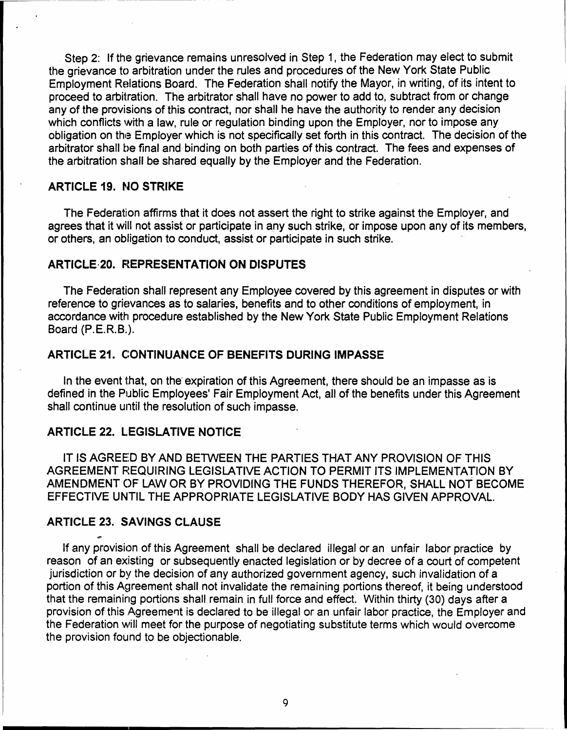Step 2: If the grievance remains unresolved in Step 1, the Federation may elect to submit the grievance to arbitration under the rules and procedures of the New York State Public Employment Relations Board. The Federation shall notify the Mayor, in writing, of its intent to proceed to arbitration. The arbitrator shall have no power to add to, subtract from or change any of the provisions of this contract, nor shall he have the authority to render any decision which conflicts with a law, rule or regulation binding upon the Employer, nor to impose any obligation on the Employer which is not specifically set forth in this contract. The decision of the arbitrator shall be final and binding on both parties of this contract. The fees and expenses of the arbitration shall be shared equally by the Employer and the Federation.

# ARTICLE 19. NO STRIKE

The Federation affirms that it does not assert the right to strike against the Employer, and agrees that it will not assist or participate in any such strike, or impose upon any of its members, or others, an obligation to conduct, assist or participate in such strike.

# **ARTICLE 20. REPRESENTATION ON DISPUTES**

The Federation shall represent any Employee covered by this agreement in disputes or with reference to grievances as to salaries, benefits and to other conditions of employment, in accordance with procedure established by the New York State Public Employment Relations Board (P.E.R.B.).

# ARTICLE 21. CONTINUANCE OF BENEFITS DURING IMPASSE

In the event that, on the expiration of this Agreement, there should be an impasse as is defined in the Public Employees' Fair Employment Act, all of the benefits under this Agreement shall continue until the resolution of such impasse.

# ARTICLE 22. LEGISLATIVE NOTICE

IT IS AGREED BY AND BETWEEN THE PARTIES THAT ANY PROVISION OF THIS AGREEMENT REQUIRING LEGISLATIVE ACTION TO PERMIT ITS IMPLEMENTATION BY AMENDMENT ()F LAW OR BY PROVIDING THE FUNDS THEREFOR, SHALL NOT BECOME EFFECTIVE UNTIL THE APPROPRIATE LEGISLATIVE BODY HAS GIVEN APPROVAL.

#### ARTICLE 23. SAVINGS CLAUSE

If any provision of this Agreement shall be declared illegal or an unfair labor practice by reason of an existing or subsequently enacted legislation or by decree of a court of competent jurisdiction or by the decision of any authorized government agency, such invalidation of a portion of this Agreement shall not invalidate the remaining portions thereof, it being understood that the remaining portions shall remain in full force and effect. Within thirty (30) days after a provision of this Agreement is declared to be illegal or an unfair labor practice, the Employer and the Federation will meet for the purpose of negotiating substitute terms which would overcome the provision found to be objectionable.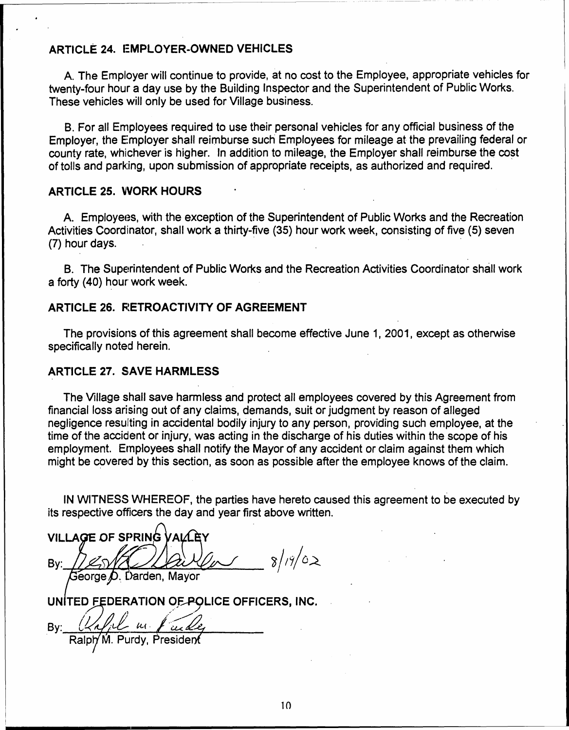# ARTICLE 24. EMPLOYER-OWNED VEHICLES

A. The Employer will continue to provide, at no cost to the Employee, appropriate vehicles for twenty-four hour a day use by the Building Inspector and the Superintendent of Public Works. These vehicles will only be used for Village business.

B. For all Employees required to use their personal vehicles for any official business of the Employer, the E:mployer shall reimburse such Employees for mileage at the prevailing federal or county rate, whichever is higher. In addition to mileage, the Employer shall reimburse the cost of tolls and parking, upon submission of appropriate receipts, as authorized and required.

#### ARTICLE 25. WORK HOURS

A. Employees, with the exception of the Superintendent of Public Works and the Recreation Activities Coordinator, shall work a thirty-five (35) hour work week, consisting of five (5) seven (7) hour days. '

B. The Superintendent of Public Works and the Recreation Activities Coordinator shall work a forty (40) hour work week.

## ARTICLE 26. RETROACTIVITY OF AGREEMENT

The provisions of this agreement shall become effective June 1, 2001, except as otherwise specifically noted herein.

#### **ARTICLE 27. SAVE HARMLESS**

The Village shall save harmless and protect all employees covered by this Agreement from financial loss arising out of any claims, demands, suit or judgment by reason of alleged negligence resul'ting in accidental bodily injury to any person, providing such employee, at the time of the accident or injury, was acting in the discharge of his duties within the scope of his employment. Ernployees shall notify the Mayor of any accident or claim against them which might be covered by this section, as soon as possible after the employee knows of the claim.

IN WITNESS WHEREOF, the parties have hereto caused this agreement to be executed by its respective officers the day and year first above written.

VILLAGE OF SPRING . By:  $120/512/20/60$  8/19/02  $\mathsf{George}\,\mathcal{D}$ . Darden, Mayor UNITED FEDERATION OF POLICE OFFICERS, INC.

By: *(24) il un field*<br>Ralph M. Purdy, Presider

.